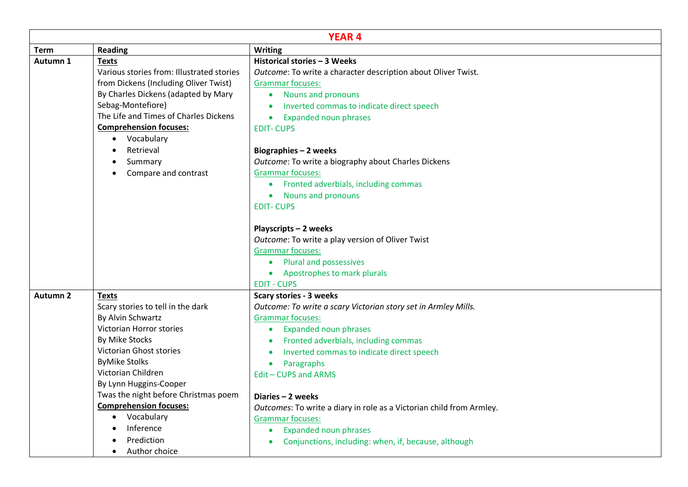| <b>YEAR 4</b>   |                                                                                                                                                                                                                                                                                                                                                         |                                                                                                                                                                                                                                                                                                                                                                                                                                                                                                             |  |  |
|-----------------|---------------------------------------------------------------------------------------------------------------------------------------------------------------------------------------------------------------------------------------------------------------------------------------------------------------------------------------------------------|-------------------------------------------------------------------------------------------------------------------------------------------------------------------------------------------------------------------------------------------------------------------------------------------------------------------------------------------------------------------------------------------------------------------------------------------------------------------------------------------------------------|--|--|
| <b>Term</b>     | <b>Reading</b>                                                                                                                                                                                                                                                                                                                                          | <b>Writing</b>                                                                                                                                                                                                                                                                                                                                                                                                                                                                                              |  |  |
| Autumn 1        | <b>Texts</b><br>Various stories from: Illustrated stories<br>from Dickens (Including Oliver Twist)<br>By Charles Dickens (adapted by Mary<br>Sebag-Montefiore)<br>The Life and Times of Charles Dickens<br><b>Comprehension focuses:</b><br>Vocabulary<br>Retrieval<br>Summary<br>Compare and contrast                                                  | Historical stories - 3 Weeks<br>Outcome: To write a character description about Oliver Twist.<br><b>Grammar focuses:</b><br>• Nouns and pronouns<br>Inverted commas to indicate direct speech<br>$\bullet$<br><b>Expanded noun phrases</b><br>$\bullet$<br><b>EDIT-CUPS</b><br>Biographies - 2 weeks<br>Outcome: To write a biography about Charles Dickens<br><b>Grammar focuses:</b><br>Fronted adverbials, including commas<br>$\bullet$<br><b>Nouns and pronouns</b><br>$\bullet$<br><b>EDIT-CUPS</b>   |  |  |
|                 |                                                                                                                                                                                                                                                                                                                                                         | Playscripts - 2 weeks<br>Outcome: To write a play version of Oliver Twist<br><b>Grammar focuses:</b><br><b>Plural and possessives</b><br>$\bullet$<br>Apostrophes to mark plurals<br>$\bullet$<br><b>EDIT - CUPS</b>                                                                                                                                                                                                                                                                                        |  |  |
| <b>Autumn 2</b> | <b>Texts</b>                                                                                                                                                                                                                                                                                                                                            | <b>Scary stories - 3 weeks</b>                                                                                                                                                                                                                                                                                                                                                                                                                                                                              |  |  |
|                 | Scary stories to tell in the dark<br>By Alvin Schwartz<br>Victorian Horror stories<br>By Mike Stocks<br>Victorian Ghost stories<br><b>ByMike Stolks</b><br>Victorian Children<br>By Lynn Huggins-Cooper<br>Twas the night before Christmas poem<br><b>Comprehension focuses:</b><br>Vocabulary<br>$\bullet$<br>Inference<br>Prediction<br>Author choice | Outcome: To write a scary Victorian story set in Armley Mills.<br><b>Grammar focuses:</b><br><b>Expanded noun phrases</b><br>$\bullet$<br>Fronted adverbials, including commas<br>Inverted commas to indicate direct speech<br>Paragraphs<br>$\bullet$<br>Edit - CUPS and ARMS<br>Diaries - 2 weeks<br>Outcomes: To write a diary in role as a Victorian child from Armley.<br><b>Grammar focuses:</b><br><b>Expanded noun phrases</b><br>$\bullet$<br>Conjunctions, including: when, if, because, although |  |  |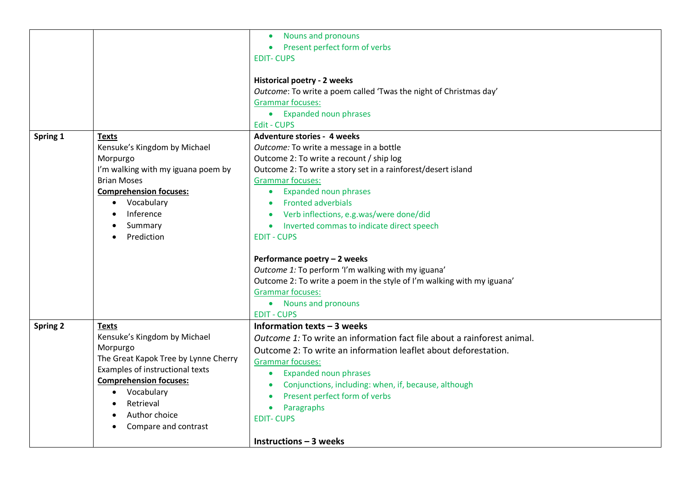|                 |                                      | Nouns and pronouns<br>$\bullet$                                         |
|-----------------|--------------------------------------|-------------------------------------------------------------------------|
|                 |                                      | Present perfect form of verbs                                           |
|                 |                                      | <b>EDIT-CUPS</b>                                                        |
|                 |                                      |                                                                         |
|                 |                                      | <b>Historical poetry - 2 weeks</b>                                      |
|                 |                                      | Outcome: To write a poem called 'Twas the night of Christmas day'       |
|                 |                                      | <b>Grammar focuses:</b>                                                 |
|                 |                                      | • Expanded noun phrases                                                 |
|                 |                                      | <b>Edit - CUPS</b>                                                      |
| Spring 1        | <b>Texts</b>                         | <b>Adventure stories - 4 weeks</b>                                      |
|                 | Kensuke's Kingdom by Michael         | Outcome: To write a message in a bottle                                 |
|                 | Morpurgo                             | Outcome 2: To write a recount / ship log                                |
|                 | I'm walking with my iguana poem by   | Outcome 2: To write a story set in a rainforest/desert island           |
|                 | <b>Brian Moses</b>                   | <b>Grammar focuses:</b>                                                 |
|                 | <b>Comprehension focuses:</b>        | <b>Expanded noun phrases</b><br>$\bullet$                               |
|                 | Vocabulary<br>$\bullet$              | <b>Fronted adverbials</b>                                               |
|                 | Inference                            | Verb inflections, e.g.was/were done/did                                 |
|                 | Summary                              | Inverted commas to indicate direct speech<br>$\bullet$                  |
|                 | Prediction                           | <b>EDIT - CUPS</b>                                                      |
|                 |                                      |                                                                         |
|                 |                                      | Performance poetry - 2 weeks                                            |
|                 |                                      | Outcome 1: To perform 'I'm walking with my iguana'                      |
|                 |                                      | Outcome 2: To write a poem in the style of I'm walking with my iguana'  |
|                 |                                      | <b>Grammar focuses:</b>                                                 |
|                 |                                      | • Nouns and pronouns                                                    |
|                 |                                      | <b>EDIT - CUPS</b>                                                      |
| <b>Spring 2</b> | <b>Texts</b>                         | Information texts - 3 weeks                                             |
|                 | Kensuke's Kingdom by Michael         | Outcome 1: To write an information fact file about a rainforest animal. |
|                 | Morpurgo                             | Outcome 2: To write an information leaflet about deforestation.         |
|                 | The Great Kapok Tree by Lynne Cherry | <b>Grammar focuses:</b>                                                 |
|                 | Examples of instructional texts      | <b>Expanded noun phrases</b><br>$\bullet$                               |
|                 | <b>Comprehension focuses:</b>        | Conjunctions, including: when, if, because, although                    |
|                 | • Vocabulary                         | Present perfect form of verbs<br>$\bullet$                              |
|                 | Retrieval                            | Paragraphs<br>$\bullet$                                                 |
|                 | Author choice                        | <b>EDIT-CUPS</b>                                                        |
|                 | Compare and contrast                 |                                                                         |
|                 |                                      | Instructions $-3$ weeks                                                 |
|                 |                                      |                                                                         |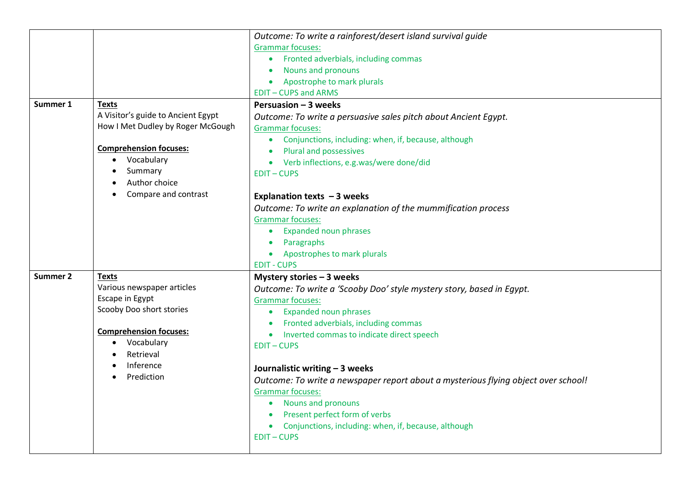|          |                                                                                                                                                                                            | Outcome: To write a rainforest/desert island survival guide<br><b>Grammar focuses:</b><br>Fronted adverbials, including commas<br>$\bullet$<br>Nouns and pronouns<br>Apostrophe to mark plurals<br><b>EDIT-CUPS and ARMS</b>                                                                                                                                                                                                                                                                                                                                                                  |
|----------|--------------------------------------------------------------------------------------------------------------------------------------------------------------------------------------------|-----------------------------------------------------------------------------------------------------------------------------------------------------------------------------------------------------------------------------------------------------------------------------------------------------------------------------------------------------------------------------------------------------------------------------------------------------------------------------------------------------------------------------------------------------------------------------------------------|
| Summer 1 | <b>Texts</b><br>A Visitor's guide to Ancient Egypt<br>How I Met Dudley by Roger McGough<br><b>Comprehension focuses:</b><br>Vocabulary<br>Summary<br>Author choice<br>Compare and contrast | <b>Persuasion - 3 weeks</b><br>Outcome: To write a persuasive sales pitch about Ancient Egypt.<br><b>Grammar focuses:</b><br>Conjunctions, including: when, if, because, although<br>$\bullet$<br>Plural and possessives<br>Verb inflections, e.g.was/were done/did<br><b>EDIT-CUPS</b><br>Explanation texts $-3$ weeks<br>Outcome: To write an explanation of the mummification process<br><b>Grammar focuses:</b><br><b>Expanded noun phrases</b><br>$\bullet$<br>Paragraphs                                                                                                                |
|          |                                                                                                                                                                                            | Apostrophes to mark plurals<br><b>EDIT - CUPS</b>                                                                                                                                                                                                                                                                                                                                                                                                                                                                                                                                             |
| Summer 2 | Texts<br>Various newspaper articles<br>Escape in Egypt<br>Scooby Doo short stories<br><b>Comprehension focuses:</b><br>Vocabulary<br>Retrieval<br>Inference<br>Prediction                  | Mystery stories - 3 weeks<br>Outcome: To write a 'Scooby Doo' style mystery story, based in Egypt.<br><b>Grammar focuses:</b><br><b>Expanded noun phrases</b><br>$\bullet$<br>Fronted adverbials, including commas<br>Inverted commas to indicate direct speech<br><b>EDIT-CUPS</b><br>Journalistic writing - 3 weeks<br>Outcome: To write a newspaper report about a mysterious flying object over school!<br><b>Grammar focuses:</b><br><b>Nouns and pronouns</b><br>$\bullet$<br>Present perfect form of verbs<br>Conjunctions, including: when, if, because, although<br><b>EDIT-CUPS</b> |